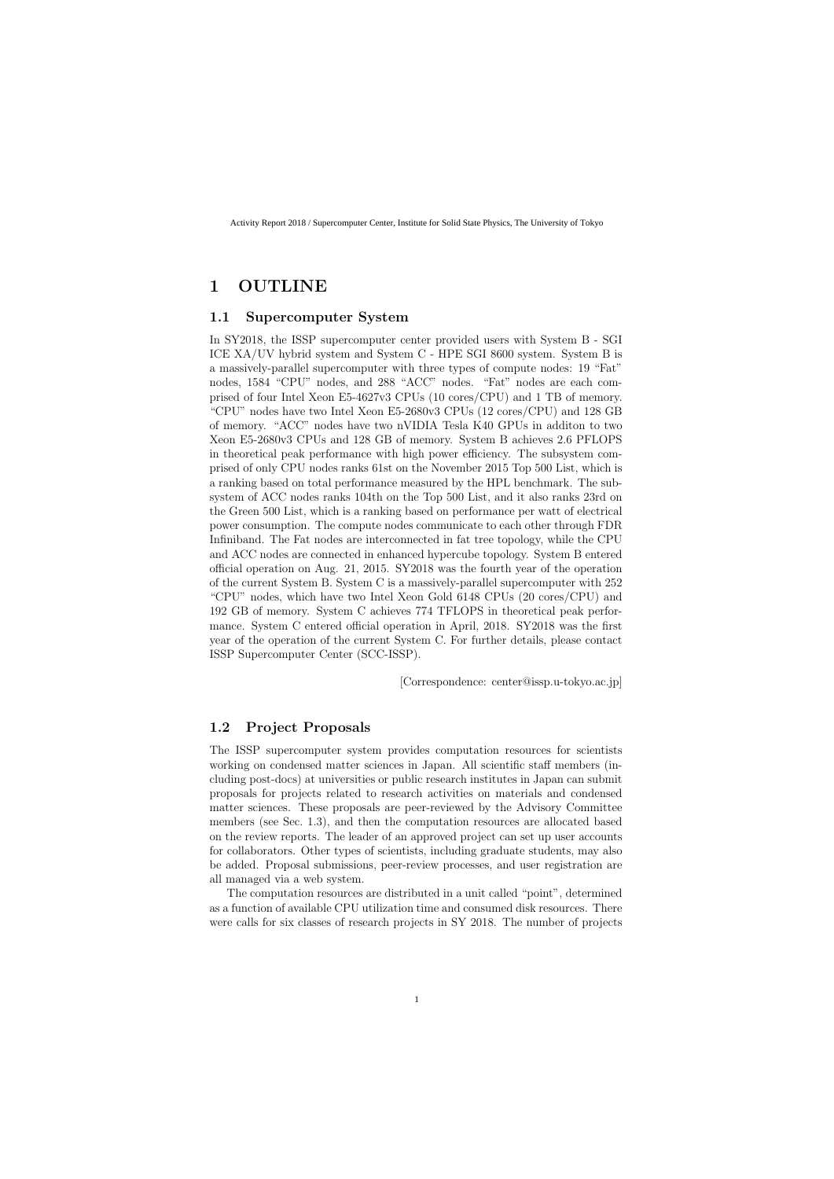## **1 OUTLINE**

#### **1.1 Supercomputer System**

In SY2018, the ISSP supercomputer center provided users with System B - SGI ICE XA/UV hybrid system and System C - HPE SGI 8600 system. System B is a massively-parallel supercomputer with three types of compute nodes: 19 "Fat" nodes, 1584 "CPU" nodes, and 288 "ACC" nodes. "Fat" nodes are each comprised of four Intel Xeon E5-4627v3 CPUs (10 cores/CPU) and 1 TB of memory. "CPU" nodes have two Intel Xeon E5-2680v3 CPUs (12 cores/CPU) and 128 GB of memory. "ACC" nodes have two nVIDIA Tesla K40 GPUs in additon to two Xeon E5-2680v3 CPUs and 128 GB of memory. System B achieves 2.6 PFLOPS in theoretical peak performance with high power efficiency. The subsystem comprised of only CPU nodes ranks 61st on the November 2015 Top 500 List, which is a ranking based on total performance measured by the HPL benchmark. The subsystem of ACC nodes ranks 104th on the Top 500 List, and it also ranks 23rd on the Green 500 List, which is a ranking based on performance per watt of electrical power consumption. The compute nodes communicate to each other through FDR Infiniband. The Fat nodes are interconnected in fat tree topology, while the CPU and ACC nodes are connected in enhanced hypercube topology. System B entered official operation on Aug. 21, 2015. SY2018 was the fourth year of the operation of the current System B. System C is a massively-parallel supercomputer with 252 "CPU" nodes, which have two Intel Xeon Gold 6148 CPUs (20 cores/CPU) and 192 GB of memory. System C achieves 774 TFLOPS in theoretical peak performance. System C entered official operation in April, 2018. SY2018 was the first year of the operation of the current System C. For further details, please contact ISSP Supercomputer Center (SCC-ISSP).

[Correspondence: center@issp.u-tokyo.ac.jp]

### **1.2 Project Proposals**

The ISSP supercomputer system provides computation resources for scientists working on condensed matter sciences in Japan. All scientific staff members (including post-docs) at universities or public research institutes in Japan can submit proposals for projects related to research activities on materials and condensed matter sciences. These proposals are peer-reviewed by the Advisory Committee members (see Sec. 1.3), and then the computation resources are allocated based on the review reports. The leader of an approved project can set up user accounts for collaborators. Other types of scientists, including graduate students, may also be added. Proposal submissions, peer-review processes, and user registration are all managed via a web system.

The computation resources are distributed in a unit called "point", determined as a function of available CPU utilization time and consumed disk resources. There were calls for six classes of research projects in SY 2018. The number of projects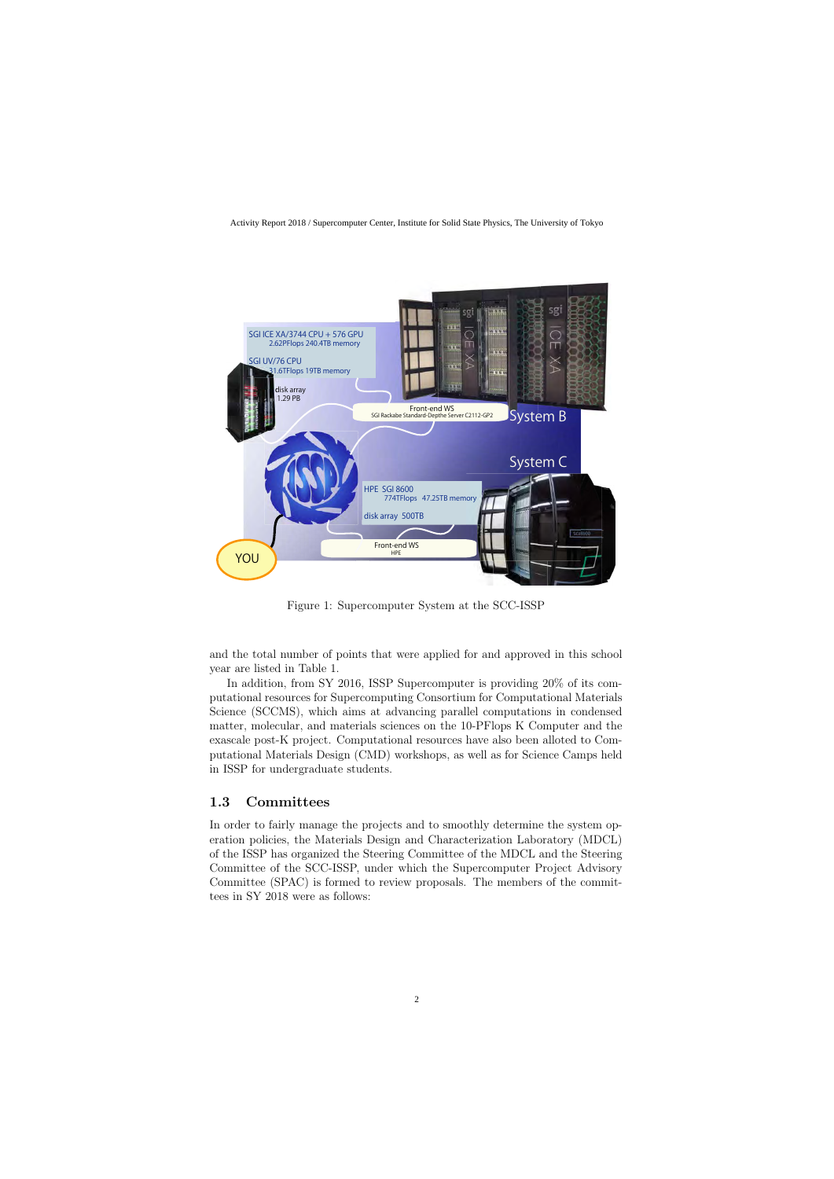

Figure 1: Supercomputer System at the SCC-ISSP

and the total number of points that were applied for and approved in this school year are listed in Table 1.

In addition, from SY 2016, ISSP Supercomputer is providing 20% of its computational resources for Supercomputing Consortium for Computational Materials Science (SCCMS), which aims at advancing parallel computations in condensed matter, molecular, and materials sciences on the 10-PFlops K Computer and the exascale post-K project. Computational resources have also been alloted to Computational Materials Design (CMD) workshops, as well as for Science Camps held in ISSP for undergraduate students.

### **1.3 Committees**

In order to fairly manage the projects and to smoothly determine the system operation policies, the Materials Design and Characterization Laboratory (MDCL) of the ISSP has organized the Steering Committee of the MDCL and the Steering Committee of the SCC-ISSP, under which the Supercomputer Project Advisory Committee (SPAC) is formed to review proposals. The members of the committees in SY 2018 were as follows: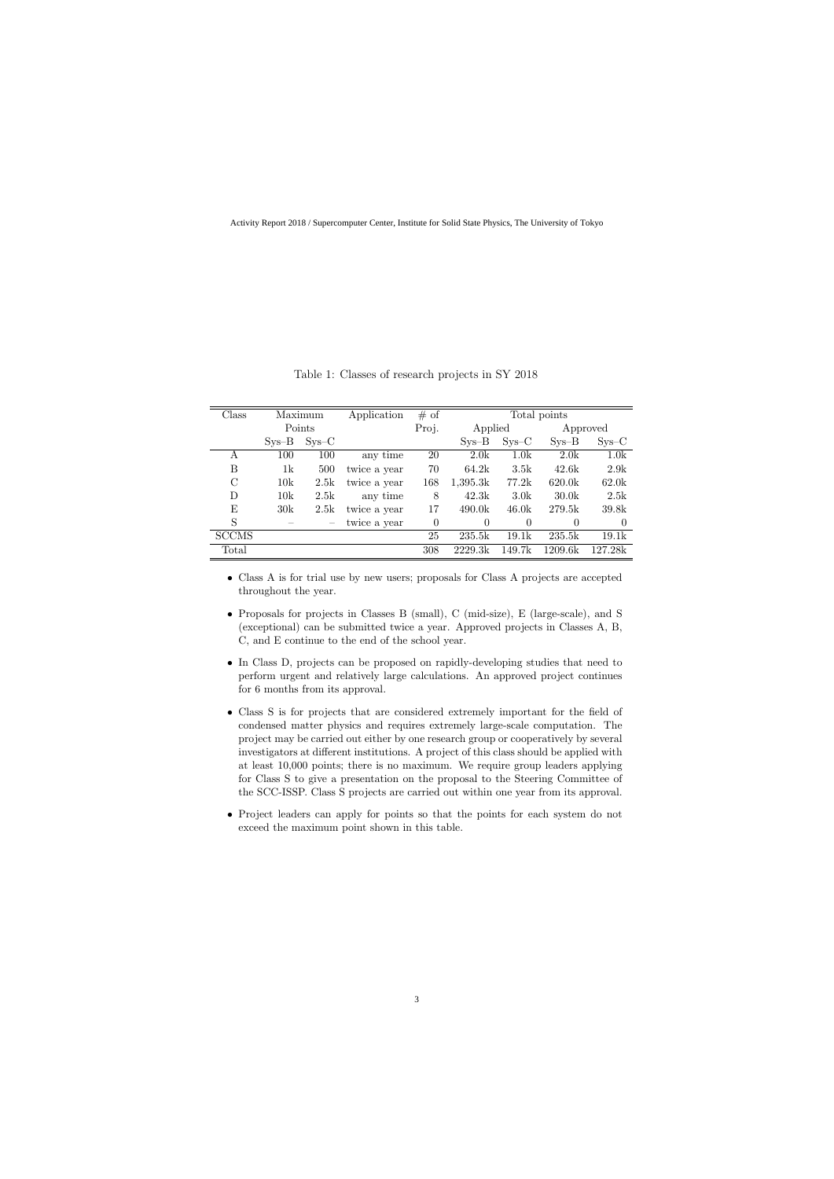| $\text{Class}$ |         | Maximum | Application  | # of  | Total points |                  |                   |          |  |
|----------------|---------|---------|--------------|-------|--------------|------------------|-------------------|----------|--|
|                | Points  |         |              | Proj. | Applied      |                  |                   | Approved |  |
|                | $Sys-B$ | $Sys-C$ |              |       | $Sys-B$      | $Sys-C$          | $Sys-B$           | $Sys-C$  |  |
| А              | 100     | 100     | any time     | 20    | 2.0k         | 1.0k             | 2.0k              | 1.0k     |  |
| Β              | 1k      | 500     | twice a year | 70    | 64.2k        | 3.5k             | 42.6k             | 2.9k     |  |
| $\rm C$        | 10k     | 2.5k    | twice a year | 168   | 1,395.3k     | 77.2k            | 620.0k            | 62.0k    |  |
| D              | 10k     | 2.5k    | any time     | 8     | 42.3k        | 3.0 <sub>k</sub> | 30.0 <sub>k</sub> | 2.5k     |  |
| E              | 30k     | 2.5k    | twice a year | 17    | 490.0k       | 46.0k            | 279.5k            | 39.8k    |  |
| S              |         |         | twice a year | 0     | $\theta$     | $\theta$         | $\overline{0}$    | $\Omega$ |  |
| <b>SCCMS</b>   |         |         |              | 25    | 235.5k       | 19.1k            | 235.5k            | 19.1k    |  |
| Total          |         |         |              | 308   | 2229.3k      | 149.7k           | 1209.6k           | 127.28k  |  |

Table 1: Classes of research projects in SY 2018

- Class A is for trial use by new users; proposals for Class A projects are accepted throughout the year.
- *•* Proposals for projects in Classes B (small), C (mid-size), E (large-scale), and S (exceptional) can be submitted twice a year. Approved projects in Classes A, B, C, and E continue to the end of the school year.
- In Class D, projects can be proposed on rapidly-developing studies that need to perform urgent and relatively large calculations. An approved project continues for 6 months from its approval.
- *•* Class S is for projects that are considered extremely important for the field of condensed matter physics and requires extremely large-scale computation. The project may be carried out either by one research group or cooperatively by several investigators at different institutions. A project of this class should be applied with at least 10,000 points; there is no maximum. We require group leaders applying for Class S to give a presentation on the proposal to the Steering Committee of the SCC-ISSP. Class S projects are carried out within one year from its approval.
- Project leaders can apply for points so that the points for each system do not exceed the maximum point shown in this table.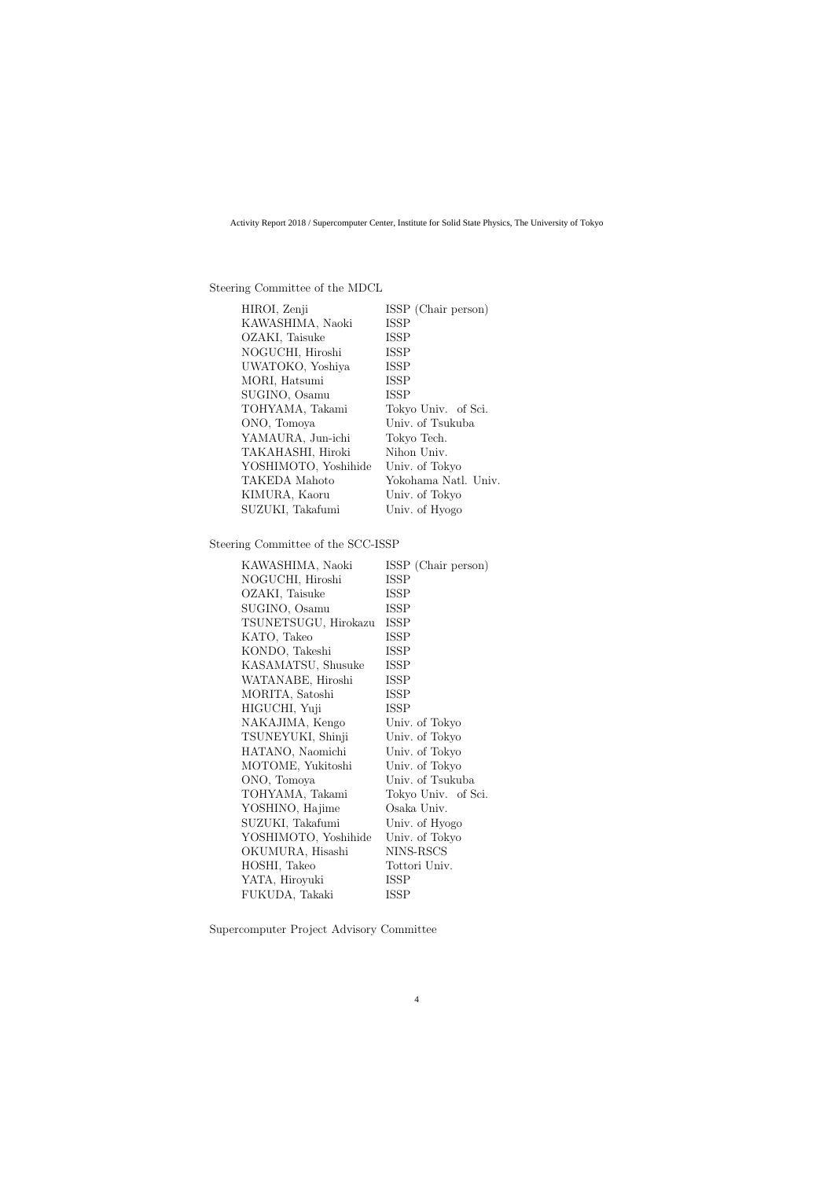#### Steering Committee of the MDCL

| HIROI, Zenji         | ISSP (Chair person)  |
|----------------------|----------------------|
| KAWASHIMA, Naoki     | <b>ISSP</b>          |
| OZAKI, Taisuke       | <b>ISSP</b>          |
| NOGUCHI, Hiroshi     | <b>ISSP</b>          |
| UWATOKO, Yoshiya     | <b>ISSP</b>          |
| MORI, Hatsumi        | <b>ISSP</b>          |
| SUGINO, Osamu        | <b>ISSP</b>          |
| TOHYAMA, Takami      | Tokyo Univ. of Sci.  |
| ONO, Tomoya          | Univ. of Tsukuba     |
| YAMAURA, Jun-ichi    | Tokyo Tech.          |
| TAKAHASHI, Hiroki    | Nihon Univ.          |
| YOSHIMOTO, Yoshihide | Univ. of Tokyo       |
| TAKEDA Mahoto        | Yokohama Natl. Univ. |
| KIMURA, Kaoru        | Univ. of Tokyo       |
| SUZUKI, Takafumi     | Univ. of Hyogo       |

### Steering Committee of the SCC-ISSP

| KAWASHIMA, Naoki     | ISSP (Chair person) |
|----------------------|---------------------|
| NOGUCHI, Hiroshi     | <b>ISSP</b>         |
| OZAKI, Taisuke       | <b>ISSP</b>         |
| SUGINO, Osamu        | <b>ISSP</b>         |
| TSUNETSUGU, Hirokazu | <b>ISSP</b>         |
| KATO, Takeo          | <b>ISSP</b>         |
| KONDO, Takeshi       | <b>ISSP</b>         |
| KASAMATSU, Shusuke   | <b>ISSP</b>         |
| WATANABE, Hiroshi    | <b>ISSP</b>         |
| MORITA, Satoshi      | ISSP                |
| HIGUCHI, Yuji        | <b>ISSP</b>         |
| NAKAJIMA, Kengo      | Univ. of Tokyo      |
| TSUNEYUKI, Shinji    | Univ. of Tokyo      |
| HATANO, Naomichi     | Univ. of Tokyo      |
| MOTOME, Yukitoshi    | Univ. of Tokyo      |
| ONO, Tomoya          | Univ. of Tsukuba    |
| TOHYAMA, Takami      | Tokyo Univ. of Sci. |
| YOSHINO, Hajime      | Osaka Univ.         |
| SUZUKI, Takafumi     | Univ. of Hyogo      |
| YOSHIMOTO, Yoshihide | Univ. of Tokyo      |
| OKUMURA, Hisashi     | NINS-RSCS           |
| HOSHI, Takeo         | Tottori Univ.       |
| YATA, Hiroyuki       | <b>ISSP</b>         |
| FUKUDA, Takaki       | <b>ISSP</b>         |

Supercomputer Project Advisory Committee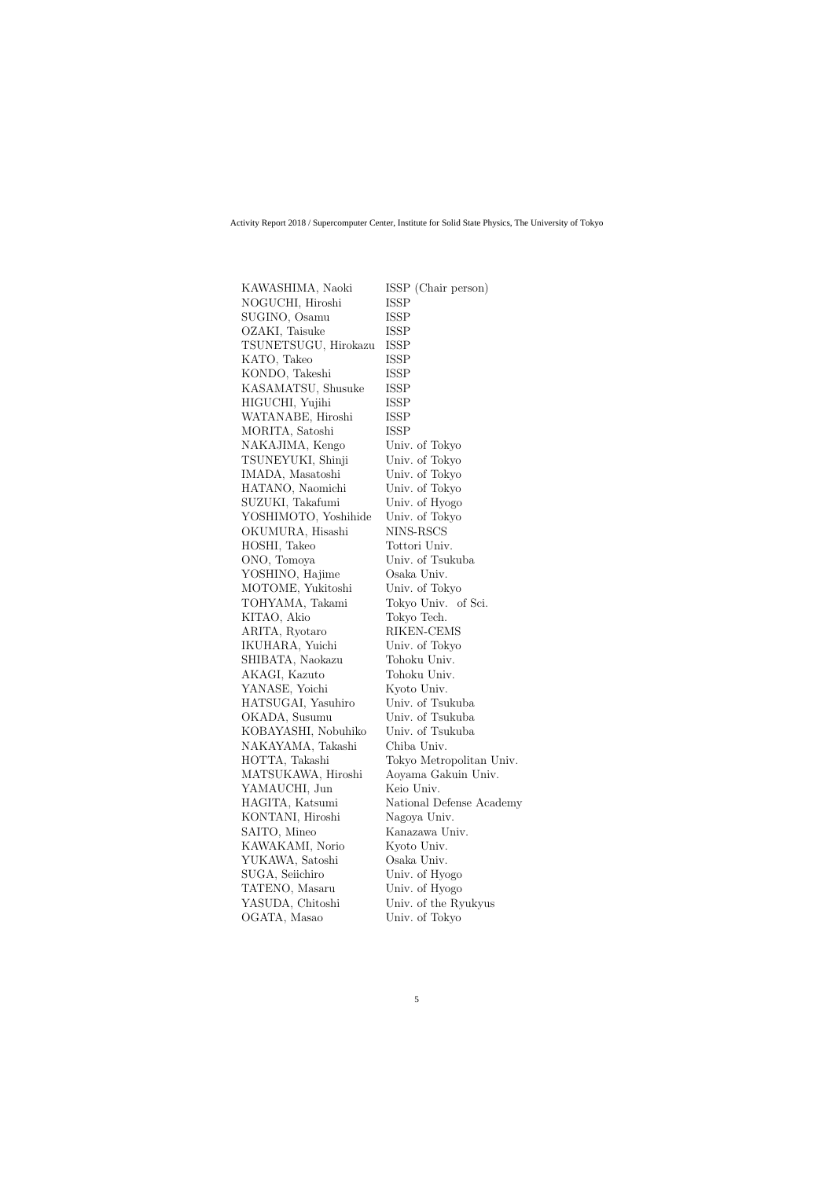| KAWASHIMA, Naoki     | ISSP (Chair person)      |
|----------------------|--------------------------|
| NOGUCHI, Hiroshi     | ISSP                     |
| SUGINO, Osamu        | ISSP                     |
| OZAKI, Taisuke       | <b>ISSP</b>              |
| TSUNETSUGU, Hirokazu | ISSP                     |
| KATO, Takeo          | <b>ISSP</b>              |
| KONDO, Takeshi       | ISSP                     |
| KASAMATSU, Shusuke   | ISSP                     |
| HIGUCHI, Yujihi      | ISSP                     |
| WATANABE, Hiroshi    | ISSP                     |
| MORITA, Satoshi      | ISSP                     |
| NAKAJIMA, Kengo      | Univ. of Tokyo           |
| TSUNEYUKI, Shinji    | Univ. of Tokyo           |
| IMADA, Masatoshi     | Univ. of Tokyo           |
| HATANO, Naomichi     | Univ. of Tokyo           |
| SUZUKI, Takafumi     | Univ. of Hyogo           |
| YOSHIMOTO, Yoshihide | Univ. of Tokyo           |
| OKUMURA, Hisashi     | NINS-RSCS                |
| HOSHI, Takeo         | Tottori Univ.            |
| ONO, Tomoya          | Univ. of Tsukuba         |
| YOSHINO, Hajime      | Osaka Univ.              |
| MOTOME, Yukitoshi    | Univ. of Tokyo           |
| TOHYAMA, Takami      | Tokyo Univ. of Sci.      |
| KITAO, Akio          | Tokyo Tech.              |
| ARITA, Ryotaro       | RIKEN-CEMS               |
| IKUHARA, Yuichi      | Univ. of Tokyo           |
| SHIBATA, Naokazu     | Tohoku Univ.             |
| AKAGI, Kazuto        | Tohoku Univ.             |
| YANASE, Yoichi       | Kyoto Univ.              |
| HATSUGAI, Yasuhiro   | Univ. of Tsukuba         |
| OKADA, Susumu        | Univ. of Tsukuba         |
| KOBAYASHI, Nobuhiko  | Univ. of Tsukuba         |
| NAKAYAMA, Takashi    | Chiba Univ.              |
| HOTTA, Takashi       | Tokyo Metropolitan Univ. |
| MATSUKAWA, Hiroshi   | Aoyama Gakuin Univ.      |
| YAMAUCHI, Jun        | Keio Univ.               |
| HAGITA, Katsumi      | National Defense Academy |
| KONTANI, Hiroshi     | Nagoya Univ.             |
| SAITO, Mineo         | Kanazawa Univ.           |
| KAWAKAMI, Norio      | Kyoto Univ.              |
| YUKAWA, Satoshi      | Osaka Univ.              |
| SUGA, Seiichiro      | Univ. of Hyogo           |
| TATENO, Masaru       | Univ. of Hyogo           |
| YASUDA, Chitoshi     | Univ. of the Ryukyus     |
| OGATA, Masao         | Univ. of Tokyo           |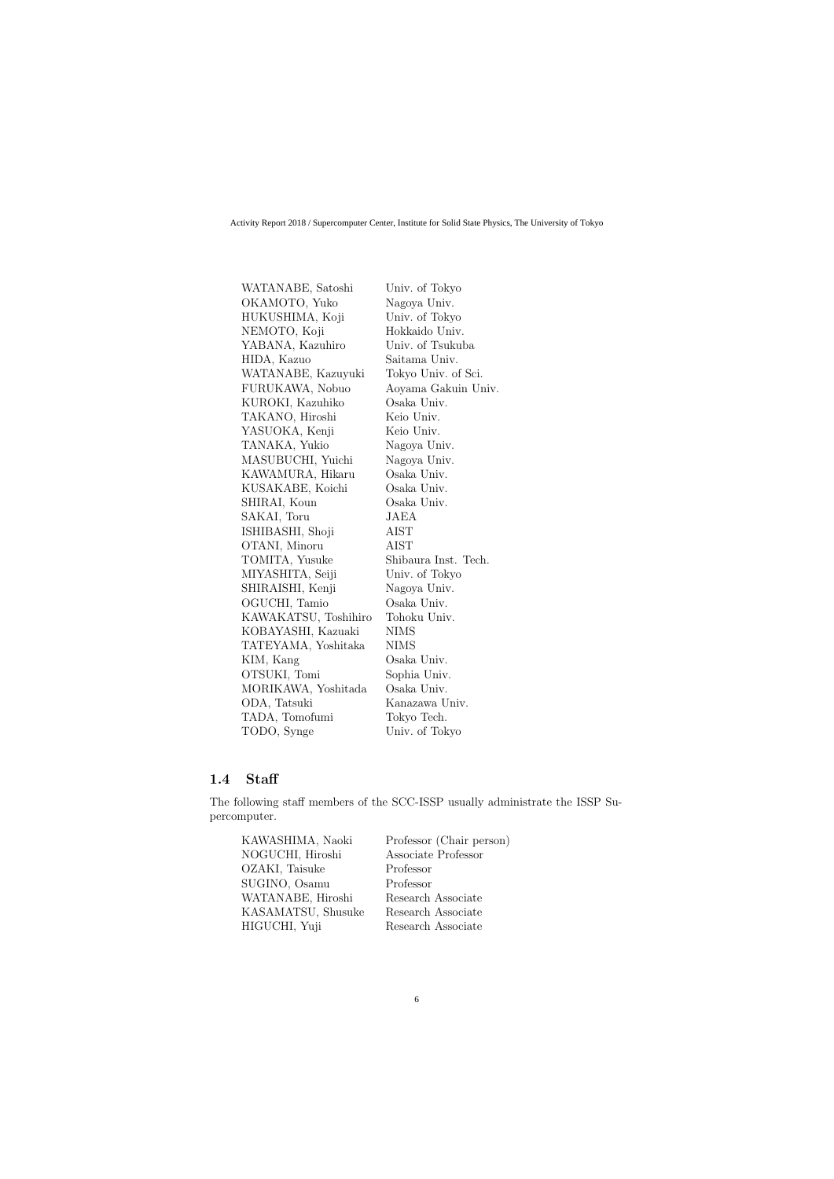| WATANABE, Satoshi    | Univ. of Tokyo       |
|----------------------|----------------------|
| OKAMOTO, Yuko        | Nagoya Univ.         |
| HUKUSHIMA, Koji      | Univ. of Tokyo       |
| NEMOTO, Koji         | Hokkaido Univ.       |
| YABANA, Kazuhiro     | Univ. of Tsukuba     |
| HIDA, Kazuo          | Saitama Univ.        |
| WATANABE, Kazuyuki   | Tokyo Univ. of Sci.  |
| FURUKAWA, Nobuo      | Aoyama Gakuin Univ.  |
| KUROKI, Kazuhiko     | Osaka Univ.          |
| TAKANO, Hiroshi      | Keio Univ.           |
| YASUOKA, Kenji       | Keio Univ.           |
| TANAKA, Yukio        | Nagoya Univ.         |
| MASUBUCHI, Yuichi    | Nagoya Univ.         |
| KAWAMURA, Hikaru     | Osaka Univ.          |
| KUSAKABE, Koichi     | Osaka Univ.          |
| SHIRAI, Koun         | Osaka Univ.          |
| SAKAI, Toru          | JAEA                 |
| ISHIBASHI, Shoji     | <b>AIST</b>          |
| OTANI, Minoru        | <b>AIST</b>          |
| TOMITA, Yusuke       | Shibaura Inst. Tech. |
| MIYASHITA, Seiji     | Univ. of Tokyo       |
| SHIRAISHI, Kenji     | Nagoya Univ.         |
| OGUCHI, Tamio        | Osaka Univ.          |
| KAWAKATSU, Toshihiro | Tohoku Univ.         |
| KOBAYASHI, Kazuaki   | <b>NIMS</b>          |
| TATEYAMA, Yoshitaka  | <b>NIMS</b>          |
| KIM, Kang            | Osaka Univ.          |
| OTSUKI, Tomi         | Sophia Univ.         |
| MORIKAWA, Yoshitada  | Osaka Univ.          |
| ODA, Tatsuki         | Kanazawa Univ.       |
| TADA, Tomofumi       | Tokyo Tech.          |
| TODO, Synge          | Univ. of Tokyo       |

### **1.4 Staff**

The following staff members of the SCC-ISSP usually administrate the ISSP Supercomputer.

| KAWASHIMA, Naoki   | Professor (Chair person) |
|--------------------|--------------------------|
| NOGUCHI, Hiroshi   | Associate Professor      |
| OZAKI, Taisuke     | Professor                |
| SUGINO, Osamu      | Professor                |
| WATANABE, Hiroshi  | Research Associate       |
| KASAMATSU, Shusuke | Research Associate       |
| HIGUCHI, Yuji      | Research Associate       |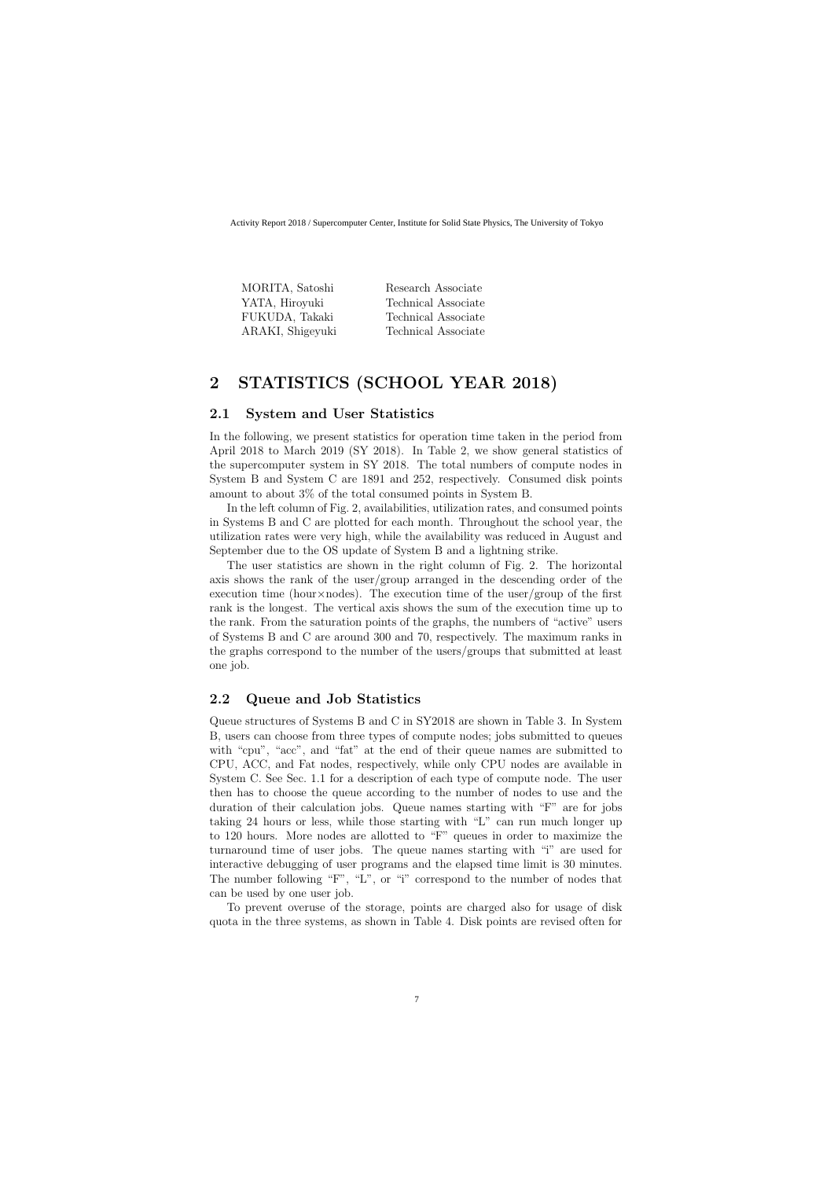| Research Associate  |
|---------------------|
| Technical Associate |
| Technical Associate |
| Technical Associate |
|                     |

## **2 STATISTICS (SCHOOL YEAR 2018)**

### **2.1 System and User Statistics**

In the following, we present statistics for operation time taken in the period from April 2018 to March 2019 (SY 2018). In Table 2, we show general statistics of the supercomputer system in SY 2018. The total numbers of compute nodes in System B and System C are 1891 and 252, respectively. Consumed disk points amount to about 3% of the total consumed points in System B.

In the left column of Fig. 2, availabilities, utilization rates, and consumed points in Systems B and C are plotted for each month. Throughout the school year, the utilization rates were very high, while the availability was reduced in August and September due to the OS update of System B and a lightning strike.

The user statistics are shown in the right column of Fig. 2. The horizontal axis shows the rank of the user/group arranged in the descending order of the execution time (hour*×*nodes). The execution time of the user/group of the first rank is the longest. The vertical axis shows the sum of the execution time up to the rank. From the saturation points of the graphs, the numbers of "active" users of Systems B and C are around 300 and 70, respectively. The maximum ranks in the graphs correspond to the number of the users/groups that submitted at least one job.

### **2.2 Queue and Job Statistics**

Queue structures of Systems B and C in SY2018 are shown in Table 3. In System B, users can choose from three types of compute nodes; jobs submitted to queues with "cpu", "acc", and "fat" at the end of their queue names are submitted to CPU, ACC, and Fat nodes, respectively, while only CPU nodes are available in System C. See Sec. 1.1 for a description of each type of compute node. The user then has to choose the queue according to the number of nodes to use and the duration of their calculation jobs. Queue names starting with "F" are for jobs taking 24 hours or less, while those starting with "L" can run much longer up to 120 hours. More nodes are allotted to "F" queues in order to maximize the turnaround time of user jobs. The queue names starting with "i" are used for interactive debugging of user programs and the elapsed time limit is 30 minutes. The number following "F", "L", or "i" correspond to the number of nodes that can be used by one user job.

To prevent overuse of the storage, points are charged also for usage of disk quota in the three systems, as shown in Table 4. Disk points are revised often for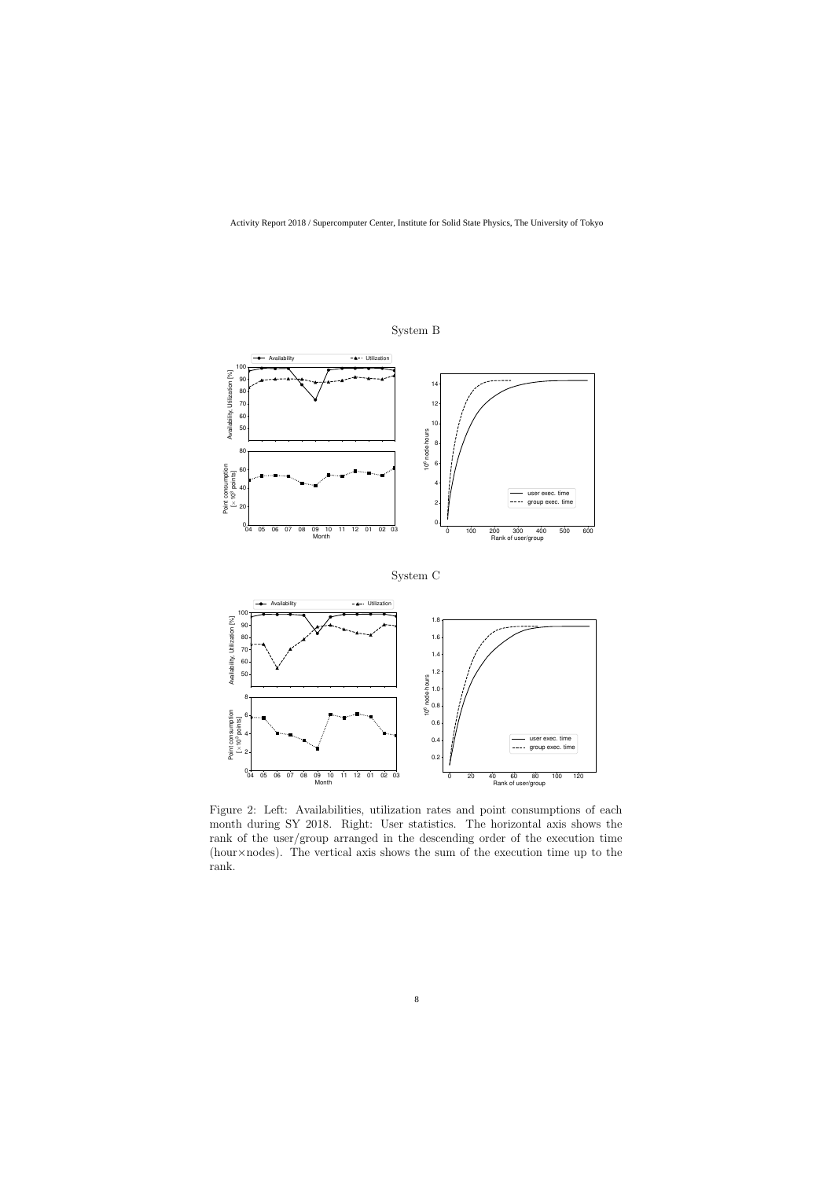

System B

Figure 2: Left: Availabilities, utilization rates and point consumptions of each month during SY 2018. Right: User statistics. The horizontal axis shows the rank of the user/group arranged in the descending order of the execution time (hour*×*nodes). The vertical axis shows the sum of the execution time up to the rank.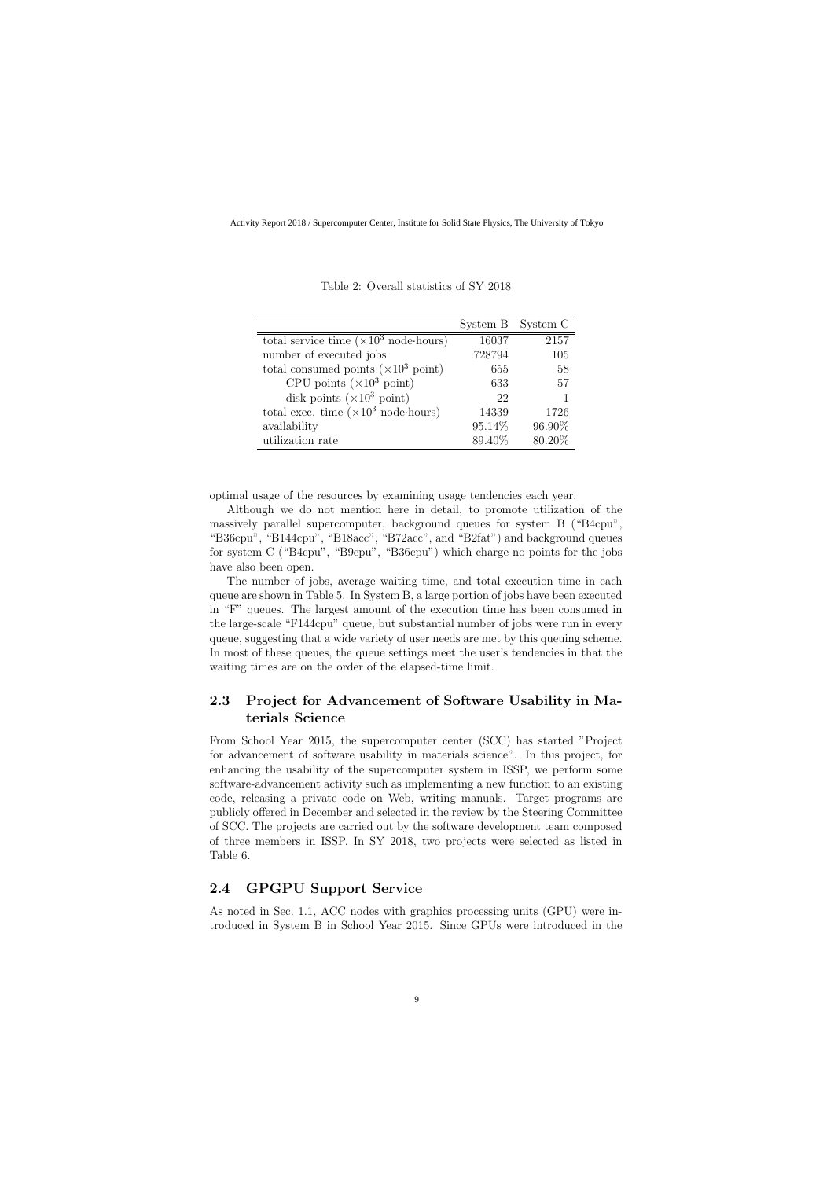|                                                       | System B | System C |
|-------------------------------------------------------|----------|----------|
| total service time $(\times 10^3 \text{ node-hours})$ | 16037    | 2157     |
| number of executed jobs                               | 728794   | 105      |
| total consumed points $(\times 10^3 \text{ point})$   | 655      | 58       |
| CPU points $(\times 10^3 \text{ point})$              | 633      | 57       |
| disk points $(\times 10^3 \text{ point})$             | 22       |          |
| total exec. time $(\times 10^3 \text{ node-hours})$   | 14339    | 1726     |
| availability                                          | 95.14%   | 96.90%   |
| utilization rate                                      | 89.40%   | 80.20%   |

Table 2: Overall statistics of SY 2018

optimal usage of the resources by examining usage tendencies each year.

Although we do not mention here in detail, to promote utilization of the massively parallel supercomputer, background queues for system B ("B4cpu", "B36cpu", "B144cpu", "B18acc", "B72acc", and "B2fat") and background queues for system C ("B4cpu", "B9cpu", "B36cpu") which charge no points for the jobs have also been open.

The number of jobs, average waiting time, and total execution time in each queue are shown in Table 5. In System B, a large portion of jobs have been executed in "F" queues. The largest amount of the execution time has been consumed in the large-scale "F144cpu" queue, but substantial number of jobs were run in every queue, suggesting that a wide variety of user needs are met by this queuing scheme. In most of these queues, the queue settings meet the user's tendencies in that the waiting times are on the order of the elapsed-time limit.

### **2.3 Project for Advancement of Software Usability in Materials Science**

From School Year 2015, the supercomputer center (SCC) has started "Project for advancement of software usability in materials science". In this project, for enhancing the usability of the supercomputer system in ISSP, we perform some software-advancement activity such as implementing a new function to an existing code, releasing a private code on Web, writing manuals. Target programs are publicly offered in December and selected in the review by the Steering Committee of SCC. The projects are carried out by the software development team composed of three members in ISSP. In SY 2018, two projects were selected as listed in Table 6.

### **2.4 GPGPU Support Service**

As noted in Sec. 1.1, ACC nodes with graphics processing units (GPU) were introduced in System B in School Year 2015. Since GPUs were introduced in the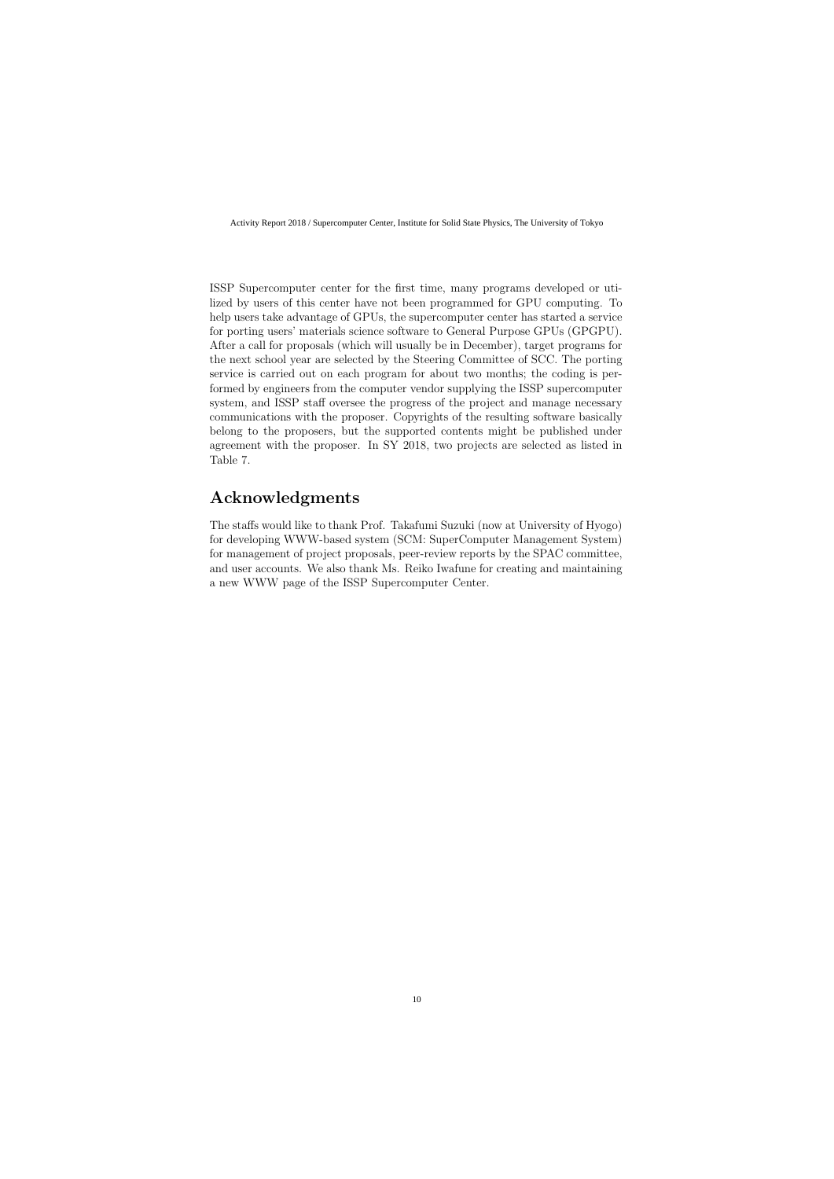ISSP Supercomputer center for the first time, many programs developed or utilized by users of this center have not been programmed for GPU computing. To help users take advantage of GPUs, the supercomputer center has started a service for porting users' materials science software to General Purpose GPUs (GPGPU). After a call for proposals (which will usually be in December), target programs for the next school year are selected by the Steering Committee of SCC. The porting service is carried out on each program for about two months; the coding is performed by engineers from the computer vendor supplying the ISSP supercomputer system, and ISSP staff oversee the progress of the project and manage necessary communications with the proposer. Copyrights of the resulting software basically belong to the proposers, but the supported contents might be published under agreement with the proposer. In SY 2018, two projects are selected as listed in Table 7.

# **Acknowledgments**

The staffs would like to thank Prof. Takafumi Suzuki (now at University of Hyogo) for developing WWW-based system (SCM: SuperComputer Management System) for management of project proposals, peer-review reports by the SPAC committee, and user accounts. We also thank Ms. Reiko Iwafune for creating and maintaining a new WWW page of the ISSP Supercomputer Center.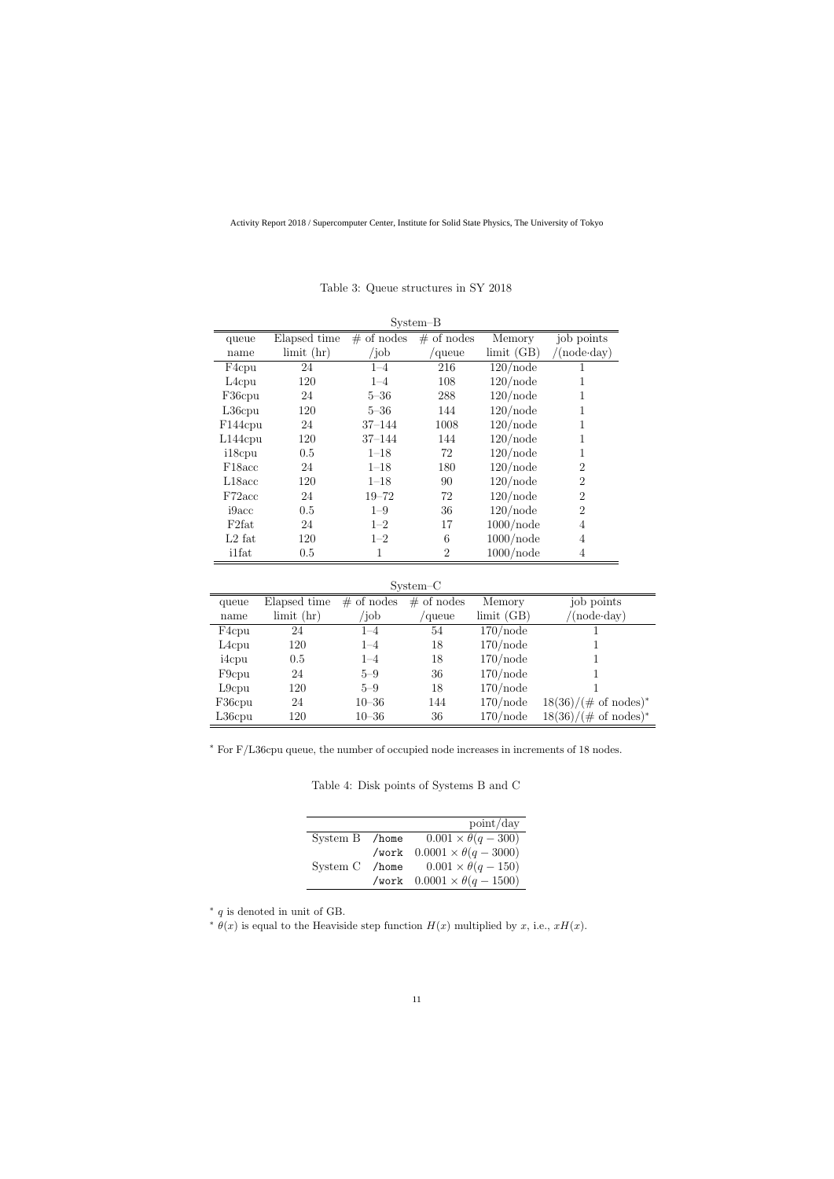| $System-B$          |                  |               |              |              |                     |
|---------------------|------------------|---------------|--------------|--------------|---------------------|
| queue               | Elapsed time     | $\#$ of nodes | $#$ of nodes | Memory       | job points          |
| name                | $\lim$ it $(hr)$ | $\int$ job    | queue        | limit(GB)    | $(\text{node-day})$ |
| F <sub>4</sub> cpu  | 24               | $1 - 4$       | 216          | $120$ /node  | 1                   |
| $L4$ cpu            | 120              | $1 - 4$       | 108          | $120$ /node  |                     |
| F36cpu              | 24               | $5 - 36$      | 288          | $120$ /node  |                     |
| L36cpu              | 120              | $5 - 36$      | 144          | $120$ /node  | 1                   |
| F144cpu             | 24               | $37 - 144$    | 1008         | $120$ /node  | 1                   |
| $L144$ cpu          | 120              | $37 - 144$    | 144          | $120$ /node  | 1                   |
| i18cpu              | 0.5              | $1 - 18$      | 72           | $120$ /node  | 1                   |
| F <sub>18</sub> acc | 24               | $1 - 18$      | 180          | $120$ /node  | $\overline{2}$      |
| L18acc              | 120              | $1 - 18$      | 90           | $120$ /node  | $\overline{2}$      |
| F72acc              | 24               | $19 - 72$     | 72           | $120$ /node  | $\overline{2}$      |
| i9acc               | 0.5              | $1 - 9$       | 36           | $120$ /node  | $\overline{2}$      |
| F <sub>2</sub> fat  | 24               | $1 - 2$       | 17           | $1000$ /node | $\overline{4}$      |
| $L2$ fat            | 120              | $1 - 2$       | 6            | $1000$ /node | 4                   |
| <i>i</i> 1fat       | 0.5              | 1             | 2            | $1000$ /node | 4                   |

Table 3: Queue structures in SY 2018

System–C

| queue              | Elapsed time                 | $\cdot$<br>$#$ of nodes | $#$ of nodes | Memory      | job points                      |
|--------------------|------------------------------|-------------------------|--------------|-------------|---------------------------------|
| name               | $\lim$ it $\left(\ln\right)$ | /job                    | 'queue       | limit(GB)   | $(node \cdot day)$              |
| F <sub>4</sub> cpu | 24                           | $1 - 4$                 | 54           | $170$ /node |                                 |
| L <sub>4</sub> cpu | 120                          | $1 - 4$                 | 18           | $170$ /node |                                 |
| i4cpu              | 0.5                          | $1 - 4$                 | 18           | $170$ /node |                                 |
| F <sub>9</sub> cpu | 24                           | $5 - 9$                 | 36           | $170$ /node |                                 |
| $L9$ cpu           | 120                          | $5 - 9$                 | 18           | $170$ /node |                                 |
| F36cpu             | 24                           | $10 - 36$               | 144          | $170$ /node | $18(36)/(\text{\# of nodes})^*$ |
| $L36$ cpu          | 120                          | $10 - 36$               | 36           | $170$ /node | $18(36)/(\text{\# of nodes})^*$ |

*∗* For F/L36cpu queue, the number of occupied node increases in increments of 18 nodes.

Table 4: Disk points of Systems B and C

|                | point/day                                   |
|----------------|---------------------------------------------|
| System B /home | $0.001 \times \theta(q-300)$                |
|                | /work $0.0001 \times \theta(q - 3000)$      |
|                | System C /home $0.001 \times \theta(q-150)$ |
|                | /work $0.0001 \times \theta(q - 1500)$      |

*∗ q* is denoted in unit of GB.

 $\theta(x)$  is equal to the Heaviside step function  $H(x)$  multiplied by *x*, i.e.,  $xH(x)$ .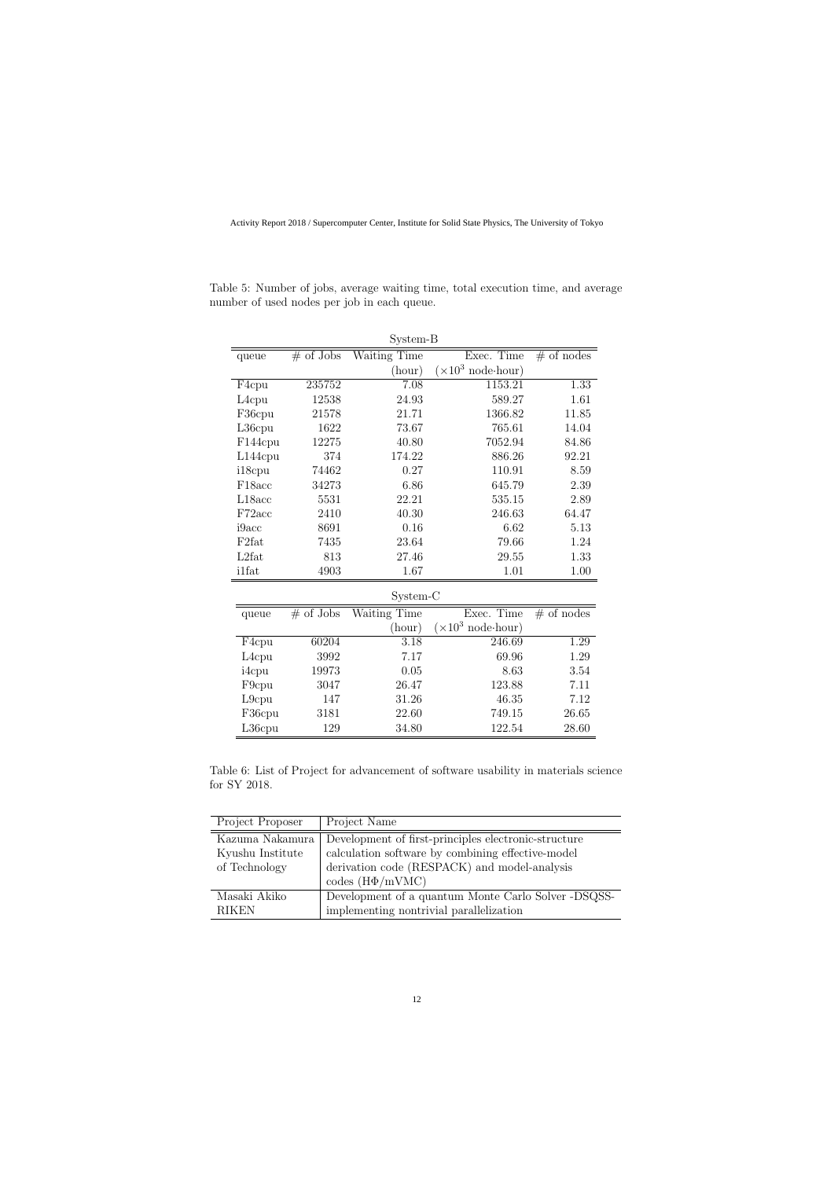| System-B           |             |              |                                   |              |  |  |
|--------------------|-------------|--------------|-----------------------------------|--------------|--|--|
| queue              | $#$ of Jobs | Waiting Time | Exec. Time                        | $#$ of nodes |  |  |
|                    |             | (hour)       | $(\times 10^3 \text{ node-hour})$ |              |  |  |
| F <sub>4</sub> cpu | 235752      | 7.08         | 1153.21                           | 1.33         |  |  |
| L <sub>4</sub> cpu | 12538       | 24.93        | 589.27                            | 1.61         |  |  |
| F36cpu             | 21578       | 21.71        | 1366.82                           | 11.85        |  |  |
| $L36$ cpu          | 1622        | 73.67        | 765.61                            | 14.04        |  |  |
| F144cpu            | 12275       | 40.80        | 7052.94                           | 84.86        |  |  |
| $L144$ cpu         | 374         | 174.22       | 886.26                            | 92.21        |  |  |
| i18cpu             | 74462       | 0.27         | 110.91                            | 8.59         |  |  |
| F18acc             | 34273       | 6.86         | 645.79                            | 2.39         |  |  |
| L18acc             | 5531        | 22.21        | 535.15                            | 2.89         |  |  |
| F72acc             | 2410        | 40.30        | 246.63                            | 64.47        |  |  |
| i9acc              | 8691        | 0.16         | 6.62                              | 5.13         |  |  |
| F <sub>2fat</sub>  | 7435        | 23.64        | 79.66                             | 1.24         |  |  |
| L2fat              | 813         | 27.46        | 29.55                             | 1.33         |  |  |
| <i>i</i> 1fat      | 4903        | 1.67         | 1.01                              | 1.00         |  |  |
|                    |             | System-C     |                                   |              |  |  |
| queue              | $#$ of Jobs | Waiting Time | Exec. Time                        | $#$ of nodes |  |  |
|                    |             | (hour)       | $(\times 10^3 \text{ node-hour})$ |              |  |  |
| F <sub>4</sub> cpu | 60204       | 3.18         | 246.69                            | 1.29         |  |  |
| L <sub>4</sub> cpu | 3992        | 7.17         | 69.96                             | 1.29         |  |  |
| i4cpu              | 19973       | 0.05         | 8.63                              | 3.54         |  |  |
| F9cpu              | 3047        | 26.47        | 123.88                            | 7.11         |  |  |
| L9cpu              | 147         | 31.26        | 46.35                             | 7.12         |  |  |
| F36cpu             | 3181        | 22.60        | 749.15                            | 26.65        |  |  |
| L36cpu             | 129         | 34.80        | 122.54                            | 28.60        |  |  |

Table 5: Number of jobs, average waiting time, total execution time, and average number of used nodes per job in each queue.

Table 6: List of Project for advancement of software usability in materials science for SY 2018.

| Project Proposer | Project Name                                         |
|------------------|------------------------------------------------------|
| Kazuma Nakamura  | Development of first-principles electronic-structure |
| Kyushu Institute | calculation software by combining effective-model    |
| of Technology    | derivation code (RESPACK) and model-analysis         |
|                  | codes $(H\Phi/mVMC)$                                 |
| Masaki Akiko     | Development of a quantum Monte Carlo Solver -DSQSS-  |
| <b>RIKEN</b>     | implementing nontrivial parallelization              |